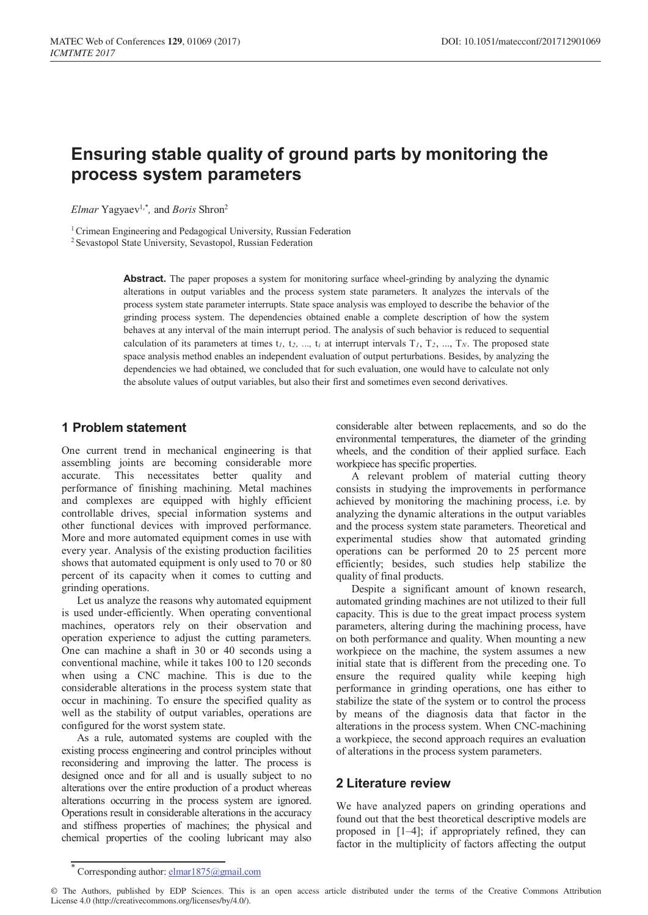# **Ensuring stable quality of ground parts by monitoring the process system parameters**

*Elmar* Yagyaev<sup>1,\*</sup>, and *Boris* Shron<sup>2</sup>

<sup>1</sup> Crimean Engineering and Pedagogical University, Russian Federation

2 Sevastopol State University, Sevastopol, Russian Federation

**Abstract.** The paper proposes a system for monitoring surface wheel-grinding by analyzing the dynamic alterations in output variables and the process system state parameters. It analyzes the intervals of the process system state parameter interrupts. State space analysis was employed to describe the behavior of the grinding process system. The dependencies obtained enable a complete description of how the system behaves at any interval of the main interrupt period. The analysis of such behavior is reduced to sequential calculation of its parameters at times  $t_1$ ,  $t_2$ , ...,  $t_i$  at interrupt intervals  $T_1$ ,  $T_2$ , ...,  $T_N$ . The proposed state space analysis method enables an independent evaluation of output perturbations. Besides, by analyzing the dependencies we had obtained, we concluded that for such evaluation, one would have to calculate not only the absolute values of output variables, but also their first and sometimes even second derivatives.

## **1 Problem statement**

One current trend in mechanical engineering is that assembling joints are becoming considerable more accurate. This necessitates better quality and performance of finishing machining. Metal machines and complexes are equipped with highly efficient controllable drives, special information systems and other functional devices with improved performance. More and more automated equipment comes in use with every year. Analysis of the existing production facilities shows that automated equipment is only used to 70 or 80 percent of its capacity when it comes to cutting and grinding operations.

Let us analyze the reasons why automated equipment is used under-efficiently. When operating conventional machines, operators rely on their observation and operation experience to adjust the cutting parameters. One can machine a shaft in 30 or 40 seconds using a conventional machine, while it takes 100 to 120 seconds when using a CNC machine. This is due to the considerable alterations in the process system state that occur in machining. To ensure the specified quality as well as the stability of output variables, operations are configured for the worst system state.

As a rule, automated systems are coupled with the existing process engineering and control principles without reconsidering and improving the latter. The process is designed once and for all and is usually subject to no alterations over the entire production of a product whereas alterations occurring in the process system are ignored. Operations result in considerable alterations in the accuracy and stiffness properties of machines; the physical and chemical properties of the cooling lubricant may also

considerable alter between replacements, and so do the environmental temperatures, the diameter of the grinding wheels, and the condition of their applied surface. Each workpiece has specific properties.

A relevant problem of material cutting theory consists in studying the improvements in performance achieved by monitoring the machining process, i.e. by analyzing the dynamic alterations in the output variables and the process system state parameters. Theoretical and experimental studies show that automated grinding operations can be performed 20 to 25 percent more efficiently; besides, such studies help stabilize the quality of final products.

Despite a significant amount of known research, automated grinding machines are not utilized to their full capacity. This is due to the great impact process system parameters, altering during the machining process, have on both performance and quality. When mounting a new workpiece on the machine, the system assumes a new initial state that is different from the preceding one. To ensure the required quality while keeping high performance in grinding operations, one has either to stabilize the state of the system or to control the process by means of the diagnosis data that factor in the alterations in the process system. When CNC-machining a workpiece, the second approach requires an evaluation of alterations in the process system parameters.

## **2 Literature review**

We have analyzed papers on grinding operations and found out that the best theoretical descriptive models are proposed in [1–4]; if appropriately refined, they can factor in the multiplicity of factors affecting the output

© The Authors, published by EDP Sciences. This is an open access article distributed under the terms of the Creative Commons Attribution License 4.0 (http://creativecommons.org/licenses/by/4.0/).

<sup>\*</sup> Corresponding author: elmar1875@gmail.com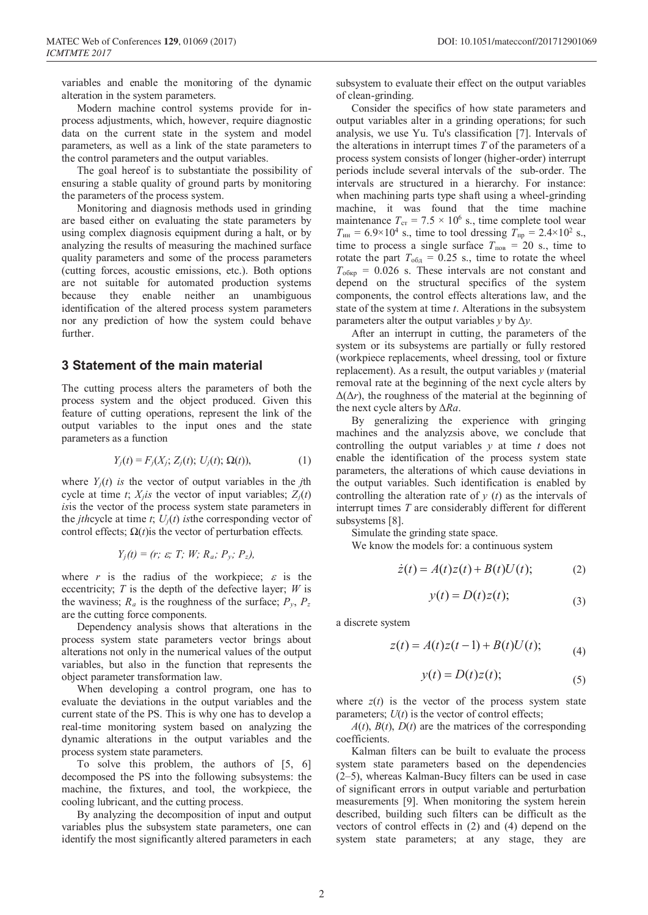variables and enable the monitoring of the dynamic alteration in the system parameters.

Modern machine control systems provide for inprocess adjustments, which, however, require diagnostic data on the current state in the system and model parameters, as well as a link of the state parameters to the control parameters and the output variables.

The goal hereof is to substantiate the possibility of ensuring a stable quality of ground parts by monitoring the parameters of the process system.

Monitoring and diagnosis methods used in grinding are based either on evaluating the state parameters by using complex diagnosis equipment during a halt, or by analyzing the results of measuring the machined surface quality parameters and some of the process parameters (cutting forces, acoustic emissions, etc.). Both options are not suitable for automated production systems because they enable neither an unambiguous identification of the altered process system parameters nor any prediction of how the system could behave further.

### **3 Statement of the main material**

The cutting process alters the parameters of both the process system and the object produced. Given this feature of cutting operations, represent the link of the output variables to the input ones and the state parameters as a function

$$
Y_j(t) = F_j(X_j; Z_j(t); U_j(t); \Omega(t)),
$$
 (1)

where  $Y_i(t)$  *is* the vector of output variables in the *j*th cycle at time *t*;  $X_i$  *is* the vector of input variables;  $Z_i(t)$ *is*is the vector of the process system state parameters in the *j*thcycle at time  $t$ ;  $U_j(t)$  *is*the corresponding vector of control effects; *Ω*(*t*)is the vector of perturbation effects*.*

$$
Y_j(t) = (r; \varepsilon; T; W; R_a; P_y; P_z),
$$

where  $r$  is the radius of the workpiece;  $\varepsilon$  is the eccentricity; *T* is the depth of the defective layer; *W* is the waviness;  $R_a$  is the roughness of the surface;  $P_v$ ,  $P_z$ are the cutting force components.

Dependency analysis shows that alterations in the process system state parameters vector brings about alterations not only in the numerical values of the output variables, but also in the function that represents the object parameter transformation law.

When developing a control program, one has to evaluate the deviations in the output variables and the current state of the PS. This is why one has to develop a real-time monitoring system based on analyzing the dynamic alterations in the output variables and the process system state parameters.

To solve this problem, the authors of [5, 6] decomposed the PS into the following subsystems: the machine, the fixtures, and tool, the workpiece, the cooling lubricant, and the cutting process.

By analyzing the decomposition of input and output variables plus the subsystem state parameters, one can identify the most significantly altered parameters in each subsystem to evaluate their effect on the output variables of clean-grinding.

Consider the specifics of how state parameters and output variables alter in a grinding operations; for such analysis, we use Yu. Tu's classification [7]. Intervals of the alterations in interrupt times *T* of the parameters of a process system consists of longer (higher-order) interrupt periods include several intervals of the sub-order. The intervals are structured in a hierarchy. For instance: when machining parts type shaft using a wheel-grinding machine, it was found that the time machine maintenance  $T_{cr} = 7.5 \times 10^6$  s., time complete tool wear  $T_{\text{HH}} = 6.9 \times 10^4$  s., time to tool dressing  $T_{\text{HP}} = 2.4 \times 10^2$  s., time to process a single surface  $T_{\text{nos}} = 20$  s., time to rotate the part  $T_{.65}$  = 0.25 s., time to rotate the wheel  $T_{\text{o6kp}} = 0.026$  s. These intervals are not constant and depend on the structural specifics of the system components, the control effects alterations law, and the state of the system at time *t*. Alterations in the subsystem parameters alter the output variables  $y$  by  $\Delta y$ .

After an interrupt in cutting, the parameters of the system or its subsystems are partially or fully restored (workpiece replacements, wheel dressing, tool or fixture replacement). As a result, the output variables *y* (material removal rate at the beginning of the next cycle alters by  $\Delta(\Delta r)$ , the roughness of the material at the beginning of the next cycle alters by Δ*Ra*.

By generalizing the experience with gringing machines and the analyzsis above, we conclude that controlling the output variables *y* at time *t* does not enable the identification of the process system state parameters, the alterations of which cause deviations in the output variables. Such identification is enabled by controlling the alteration rate of *y* (*t*) as the intervals of interrupt times *T* are considerably different for different subsystems [8].

Simulate the grinding state space.

We know the models for: a continuous system

$$
\dot{z}(t) = A(t)z(t) + B(t)U(t); \tag{2}
$$

$$
y(t) = D(t)z(t); \tag{3}
$$

a discrete system

$$
z(t) = A(t)z(t-1) + B(t)U(t); \t(4)
$$

$$
y(t) = D(t)z(t); \tag{5}
$$

where  $z(t)$  is the vector of the process system state parameters;  $U(t)$  is the vector of control effects;

 $A(t)$ ,  $B(t)$ ,  $D(t)$  are the matrices of the corresponding coefficients.

Kalman filters can be built to evaluate the process system state parameters based on the dependencies (2–5), whereas Kalman-Bucy filters can be used in case of significant errors in output variable and perturbation measurements [9]. When monitoring the system herein described, building such filters can be difficult as the vectors of control effects in (2) and (4) depend on the system state parameters; at any stage, they are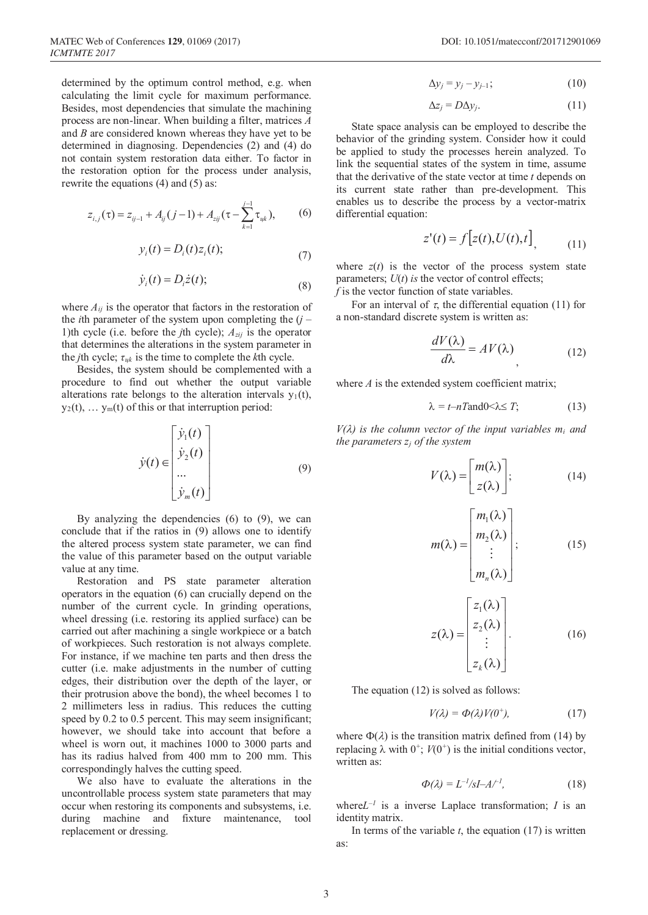determined by the optimum control method, e.g. when calculating the limit cycle for maximum performance. Besides, most dependencies that simulate the machining process are non-linear. When building a filter, matrices *A* and *B* are considered known whereas they have yet to be determined in diagnosing. Dependencies (2) and (4) do not contain system restoration data either. To factor in the restoration option for the process under analysis, rewrite the equations (4) and (5) as:

$$
z_{i,j}(\tau) = z_{ij-1} + A_{ij}(j-1) + A_{zij}(\tau - \sum_{k=1}^{j-1} \tau_{ijk}),
$$
 (6)

$$
y_i(t) = D_i(t)z_i(t); \tag{7}
$$

$$
\dot{y}_i(t) = D_i \dot{z}(t),\tag{8}
$$

where  $A_{ij}$  is the operator that factors in the restoration of the *i*th parameter of the system upon completing the  $(i -$ 1)th cycle (i.e. before the *j*th cycle);  $A_{zij}$  is the operator that determines the alterations in the system parameter in the *j*th cycle;  $\tau_{uk}$  is the time to complete the *k*th cycle.

Besides, the system should be complemented with a procedure to find out whether the output variable alterations rate belongs to the alteration intervals  $y_1(t)$ ,  $y_2(t)$ , ...  $y_m(t)$  of this or that interruption period:

$$
\dot{y}(t) \in \begin{bmatrix} \dot{y}_1(t) \\ \dot{y}_2(t) \\ \dots \\ \dot{y}_m(t) \end{bmatrix}
$$
\n(9)

By analyzing the dependencies  $(6)$  to  $(9)$ , we can conclude that if the ratios in (9) allows one to identify the altered process system state parameter, we can find the value of this parameter based on the output variable value at any time.

Restoration and PS state parameter alteration operators in the equation (6) can crucially depend on the number of the current cycle. In grinding operations, wheel dressing (i.e. restoring its applied surface) can be carried out after machining a single workpiece or a batch of workpieces. Such restoration is not always complete. For instance, if we machine ten parts and then dress the cutter (i.e. make adjustments in the number of cutting edges, their distribution over the depth of the layer, or their protrusion above the bond), the wheel becomes 1 to 2 millimeters less in radius. This reduces the cutting speed by 0.2 to 0.5 percent. This may seem insignificant; however, we should take into account that before a wheel is worn out, it machines 1000 to 3000 parts and has its radius halved from 400 mm to 200 mm. This correspondingly halves the cutting speed.

We also have to evaluate the alterations in the uncontrollable process system state parameters that may occur when restoring its components and subsystems, i.e. during machine and fixture maintenance, tool replacement or dressing.

$$
\Delta y_j = y_j - y_{j-1};\tag{10}
$$

$$
\Delta z_j = D \Delta y_j. \tag{11}
$$

State space analysis can be employed to describe the behavior of the grinding system. Consider how it could be applied to study the processes herein analyzed. To link the sequential states of the system in time, assume that the derivative of the state vector at time *t* depends on its current state rather than pre-development. This enables us to describe the process by a vector-matrix differential equation:

$$
z'(t) = f[z(t), U(t), t], \qquad (11)
$$

where  $z(t)$  is the vector of the process system state parameters;  $U(t)$  *is* the vector of control effects; *f* is the vector function of state variables.

For an interval of  $\tau$ , the differential equation (11) for a non-standard discrete system is written as:

$$
\frac{dV(\lambda)}{d\lambda} = AV(\lambda)
$$
\n(12)

where *A* is the extended system coefficient matrix;

$$
\lambda = t - n \text{Tand} 0 < \lambda \leq T; \tag{13}
$$

 $V(\lambda)$  is the column vector of the input variables  $m_i$  and *the parameters zj of the system*

$$
V(\lambda) = \begin{bmatrix} m(\lambda) \\ z(\lambda) \end{bmatrix};\tag{14}
$$

$$
m(\lambda) = \begin{bmatrix} m_1(\lambda) \\ m_2(\lambda) \\ \vdots \\ m_n(\lambda) \end{bmatrix};
$$
 (15)

$$
z(\lambda) = \begin{bmatrix} z_1(\lambda) \\ z_2(\lambda) \\ \vdots \\ z_k(\lambda) \end{bmatrix} .
$$
 (16)

The equation (12) is solved as follows:

$$
V(\lambda) = \Phi(\lambda)V(0^+),\tag{17}
$$

where  $\Phi(\lambda)$  is the transition matrix defined from (14) by replacing λ with  $0^+$ ;  $V(0^+)$  is the initial conditions vector, written as:

$$
\Phi(\lambda) = L^{-1}/sI - A^{-1},\tag{18}
$$

where $L^{-1}$  is a inverse Laplace transformation; *I* is an identity matrix.

In terms of the variable  $t$ , the equation  $(17)$  is written as: